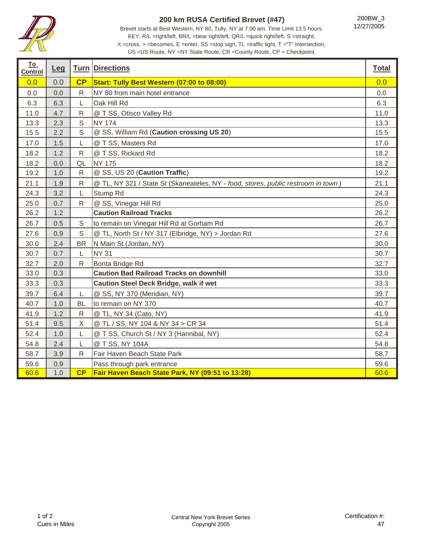

## **200 km RUSA Certified Brevet (#47)**

Brevet starts at Best Western, NY 80, Tully, NY at 7:00 am. Time Limit 13.5 hours. KEY: R/L =right/left, BR/L =bear right/left, QR/L =quick right/left, S =straight, X =cross, > =becomes, E =enter, SS =stop sign, TL =traffic light, T ="T" Intersection,

200BW\_3 12/27/2005

US =US Route, NY =NY State Route, CR =County Route, CP = Checkpoint.

| <b>To</b><br><b>Control</b> | Leg |              | <b>Turn Directions</b>                                                            | <b>Total</b> |
|-----------------------------|-----|--------------|-----------------------------------------------------------------------------------|--------------|
| 0.0                         | 0.0 | CP           | Start: Tully Best Western (07:00 to 08:00)                                        | 0.0          |
| 0.0                         | 0.0 | $\mathsf{R}$ | NY 80 from main hotel entrance                                                    | 0.0          |
| 6.3                         | 6.3 | L            | Oak Hill Rd                                                                       | 6.3          |
| 11.0                        | 4.7 | ${\sf R}$    | @ T SS, Otisco Valley Rd                                                          | 11.0         |
| 13.3                        | 2.3 | $\mathsf S$  | <b>NY 174</b>                                                                     | 13.3         |
| 15.5                        | 2.2 | S            | @ SS, William Rd (Caution crossing US 20)                                         | 15.5         |
| 17.0                        | 1.5 | L            | @ T SS, Masters Rd                                                                | 17.0         |
| 18.2                        | 1.2 | ${\sf R}$    | @ T SS, Rickard Rd                                                                | 18.2         |
| 18.2                        | 0.0 | QL           | <b>NY 175</b>                                                                     | 18.2         |
| 19.2                        | 1.0 | ${\sf R}$    | @ SS, US 20 (Caution Traffic)                                                     | 19.2         |
| 21.1                        | 1.9 | ${\sf R}$    | @ TL, NY 321 / State St (Skaneateles, NY - food, stores, public restroom in town) | 21.1         |
| 24.3                        | 3.2 | L            | Stump Rd                                                                          | 24.3         |
| 25.0                        | 0.7 | ${\sf R}$    | @ SS, Vinegar Hill Rd                                                             | 25.0         |
| 26.2                        | 1.2 |              | <b>Caution Railroad Tracks</b>                                                    | 26.2         |
| 26.7                        | 0.5 | $\mathsf S$  | to remain on Vinegar Hill Rd at Gorham Rd                                         | 26.7         |
| 27.6                        | 0.9 | S            | @ TL, North St / NY 317 (Elbridge, NY) > Jordan Rd                                | 27.6         |
| 30.0                        | 2.4 | <b>BR</b>    | N Main St (Jordan, NY)                                                            | 30.0         |
| 30.7                        | 0.7 | L            | <b>NY 31</b>                                                                      | 30.7         |
| 32.7                        | 2.0 | $\mathsf{R}$ | Bonta Bridge Rd                                                                   | 32.7         |
| 33.0                        | 0.3 |              | <b>Caution Bad Railroad Tracks on downhill</b>                                    | 33.0         |
| 33.3                        | 0.3 |              | <b>Caution Steel Deck Bridge, walk if wet</b>                                     | 33.3         |
| 39.7                        | 6.4 | L            | @ SS, NY 370 (Meridian, NY)                                                       | 39.7         |
| 40.7                        | 1.0 | <b>BL</b>    | to remain on NY 370                                                               | 40.7         |
| 41.9                        | 1.2 | $\mathsf{R}$ | @ TL, NY 34 (Cato, NY)                                                            | 41.9         |
| 51.4                        | 9.5 | $\mathsf X$  | @ TL / SS, NY 104 & NY 34 > CR 34                                                 | 51.4         |
| 52.4                        | 1.0 | L            | @ T SS, Church St / NY 3 (Hannibal, NY)                                           | 52.4         |
| 54.8                        | 2.4 | L            | @ T SS, NY 104A                                                                   | 54.8         |
| 58.7                        | 3.9 | ${\sf R}$    | Fair Haven Beach State Park                                                       | 58.7         |
| 59.6                        | 0.9 |              | Pass through park entrance                                                        | 59.6         |
| 60.6                        | 1.0 | CP           | Fair Haven Beach State Park, NY (09:51 to 13:28)                                  | 60.6         |